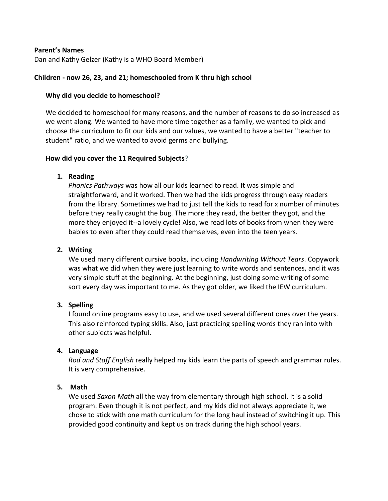### **Parent's Names**

Dan and Kathy Gelzer (Kathy is a WHO Board Member)

### **Children - now 26, 23, and 21; homeschooled from K thru high school**

### **Why did you decide to homeschool?**

We decided to homeschool for many reasons, and the number of reasons to do so increased as we went along. We wanted to have more time together as a family, we wanted to pick and choose the curriculum to fit our kids and our values, we wanted to have a better "teacher to student" ratio, and we wanted to avoid germs and bullying.

#### **How did you cover the 11 Required Subjects?**

## **1. Reading**

*Phonics Pathways* was how all our kids learned to read. It was simple and straightforward, and it worked. Then we had the kids progress through easy readers from the library. Sometimes we had to just tell the kids to read for x number of minutes before they really caught the bug. The more they read, the better they got, and the more they enjoyed it--a lovely cycle! Also, we read lots of books from when they were babies to even after they could read themselves, even into the teen years.

## **2. Writing**

We used many different cursive books, including *Handwriting Without Tears*. Copywork was what we did when they were just learning to write words and sentences, and it was very simple stuff at the beginning. At the beginning, just doing some writing of some sort every day was important to me. As they got older, we liked the IEW curriculum.

#### **3. Spelling**

I found online programs easy to use, and we used several different ones over the years. This also reinforced typing skills. Also, just practicing spelling words they ran into with other subjects was helpful.

#### **4. Language**

*Rod and Staff English* really helped my kids learn the parts of speech and grammar rules. It is very comprehensive.

#### **5. Math**

We used *Saxon Math* all the way from elementary through high school. It is a solid program. Even though it is not perfect, and my kids did not always appreciate it, we chose to stick with one math curriculum for the long haul instead of switching it up. This provided good continuity and kept us on track during the high school years.